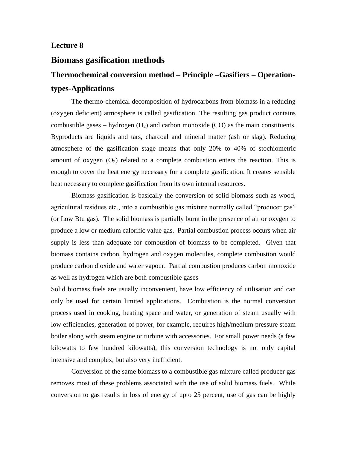## **Lecture 8**

# **Biomass gasification methods**

# **Thermochemical conversion method – Principle –Gasifiers – Operationtypes-Applications**

The thermo-chemical decomposition of hydrocarbons from biomass in a reducing (oxygen deficient) atmosphere is called gasification. The resulting gas product contains combustible gases – hydrogen  $(H_2)$  and carbon monoxide  $(CO)$  as the main constituents. Byproducts are liquids and tars, charcoal and mineral matter (ash or slag). Reducing atmosphere of the gasification stage means that only 20% to 40% of stochiometric amount of oxygen  $(O_2)$  related to a complete combustion enters the reaction. This is enough to cover the heat energy necessary for a complete gasification. It creates sensible heat necessary to complete gasification from its own internal resources.

Biomass gasification is basically the conversion of solid biomass such as wood, agricultural residues etc., into a combustible gas mixture normally called "producer gas" (or Low Btu gas). The solid biomass is partially burnt in the presence of air or oxygen to produce a low or medium calorific value gas. Partial combustion process occurs when air supply is less than adequate for combustion of biomass to be completed. Given that biomass contains carbon, hydrogen and oxygen molecules, complete combustion would produce carbon dioxide and water vapour. Partial combustion produces carbon monoxide as well as hydrogen which are both combustible gases

Solid biomass fuels are usually inconvenient, have low efficiency of utilisation and can only be used for certain limited applications. Combustion is the normal conversion process used in cooking, heating space and water, or generation of steam usually with low efficiencies, generation of power, for example, requires high/medium pressure steam boiler along with steam engine or turbine with accessories. For small power needs (a few kilowatts to few hundred kilowatts), this conversion technology is not only capital intensive and complex, but also very inefficient.

Conversion of the same biomass to a combustible gas mixture called producer gas removes most of these problems associated with the use of solid biomass fuels. While conversion to gas results in loss of energy of upto 25 percent, use of gas can be highly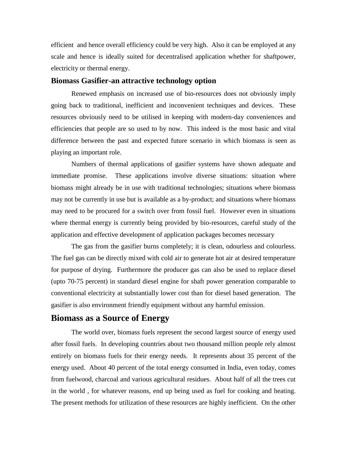efficient and hence overall efficiency could be very high. Also it can be employed at any scale and hence is ideally suited for decentralised application whether for shaftpower, electricity or thermal energy.

#### **Biomass Gasifier-an attractive technology option**

Renewed emphasis on increased use of bio-resources does not obviously imply going back to traditional, inefficient and inconvenient techniques and devices. These resources obviously need to be utilised in keeping with modern-day conveniences and efficiencies that people are so used to by now. This indeed is the most basic and vital difference between the past and expected future scenario in which biomass is seen as playing an important role.

Numbers of thermal applications of gasifier systems have shown adequate and immediate promise. These applications involve diverse situations: situation where biomass might already be in use with traditional technologies; situations where biomass may not be currently in use but is available as a by-product; and situations where biomass may need to be procured for a switch over from fossil fuel. However even in situations where thermal energy is currently being provided by bio-resources, careful study of the application and effective development of application packages becomes necessary

The gas from the gasifier burns completely; it is clean, odourless and colourless. The fuel gas can be directly mixed with cold air to generate hot air at desired temperature for purpose of drying. Furthermore the producer gas can also be used to replace diesel (upto 70-75 percent) in standard diesel engine for shaft power generation comparable to conventional electricity at substantially lower cost than for diesel based generation. The gasifier is also environment friendly equipment without any harmful emission.

# **Biomass as a Source of Energy**

The world over, biomass fuels represent the second largest source of energy used after fossil fuels. In developing countries about two thousand million people rely almost entirely on biomass fuels for their energy needs. It represents about 35 percent of the energy used. About 40 percent of the total energy consumed in India, even today, comes from fuelwood, charcoal and various agricultural residues. About half of all the trees cut in the world , for whatever reasons, end up being used as fuel for cooking and heating. The present methods for utilization of these resources are highly inefficient. On the other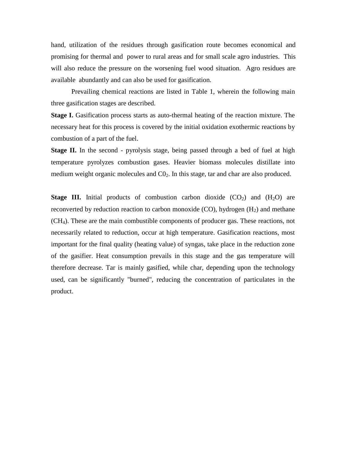hand, utilization of the residues through gasification route becomes economical and promising for thermal and power to rural areas and for small scale agro industries. This will also reduce the pressure on the worsening fuel wood situation. Agro residues are available abundantly and can also be used for gasification.

Prevailing chemical reactions are listed in Table 1, wherein the following main three gasification stages are described.

**Stage I.** Gasification process starts as auto-thermal heating of the reaction mixture. The necessary heat for this process is covered by the initial oxidation exothermic reactions by combustion of a part of the fuel.

**Stage II.** In the second - pyrolysis stage, being passed through a bed of fuel at high temperature pyrolyzes combustion gases. Heavier biomass molecules distillate into medium weight organic molecules and  $CO<sub>2</sub>$ . In this stage, tar and char are also produced.

**Stage III.** Initial products of combustion carbon dioxide  $(CO_2)$  and  $(H_2O)$  are reconverted by reduction reaction to carbon monoxide (CO), hydrogen  $(H<sub>2</sub>)$  and methane (CH4). These are the main combustible components of producer gas. These reactions, not necessarily related to reduction, occur at high temperature. Gasification reactions, most important for the final quality (heating value) of syngas, take place in the reduction zone of the gasifier. Heat consumption prevails in this stage and the gas temperature will therefore decrease. Tar is mainly gasified, while char, depending upon the technology used, can be significantly "burned", reducing the concentration of particulates in the product.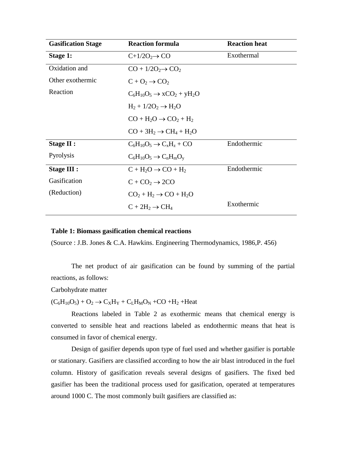| <b>Gasification Stage</b> | <b>Reaction formula</b>                  | <b>Reaction heat</b> |
|---------------------------|------------------------------------------|----------------------|
| <b>Stage 1:</b>           | $C+1/2O_2 \rightarrow CO$                | Exothermal           |
| Oxidation and             | $CO + 1/2O_2 \rightarrow CO_2$           |                      |
| Other exothermic          | $C + O_2 \rightarrow CO_2$               |                      |
| Reaction                  | $C_6H_{10}O_5 \rightarrow xCO_2 + yH_2O$ |                      |
|                           | $H_2 + 1/2O_2 \rightarrow H_2O$          |                      |
|                           | $CO + H2O \rightarrow CO2 + H2$          |                      |
|                           | $CO + 3H_2 \rightarrow CH_4 + H_2O$      |                      |
| <b>Stage II:</b>          | $C_6H_{10}O_5 \rightarrow C_xH_z + CO$   | Endothermic          |
| Pyrolysis                 | $C_6H_{10}O_5 \rightarrow C_nH_mO_v$     |                      |
| Stage III :               | $C + H2O \rightarrow CO + H2$            | Endothermic          |
| Gasification              | $C + CO2 \rightarrow 2CO$                |                      |
| (Reduction)               | $CO2 + H2 \rightarrow CO + H2O$          |                      |
|                           | $C + 2H_2 \rightarrow CH_4$              | Exothermic           |

#### **Table 1: Biomass gasification chemical reactions**

(Source : J.B. Jones & C.A. Hawkins. Engineering Thermodynamics, 1986,P. 456)

The net product of air gasification can be found by summing of the partial reactions, as follows:

Carbohydrate matter

 $(C_6H_{10}O_5) + O_2 \rightarrow C_XH_Y + C_LH_MO_N + CO + H_2 + Heat$ 

Reactions labeled in Table 2 as exothermic means that chemical energy is converted to sensible heat and reactions labeled as endothermic means that heat is consumed in favor of chemical energy.

Design of gasifier depends upon type of fuel used and whether gasifier is portable or stationary. Gasifiers are classified according to how the air blast introduced in the fuel column. History of gasification reveals several designs of gasifiers. The fixed bed gasifier has been the traditional process used for gasification, operated at temperatures around 1000 C. The most commonly built gasifiers are classified as: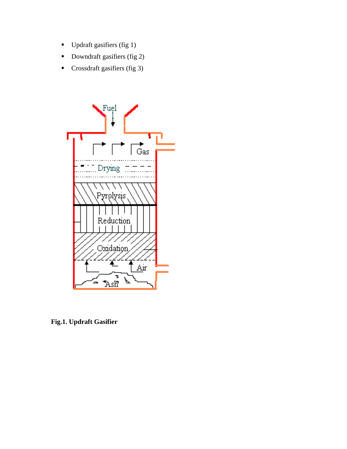- Updraft gasifiers (fig 1)
- Downdraft gasifiers (fig 2)
- Crossdraft gasifiers (fig 3)



**Fig.1. Updraft Gasifier**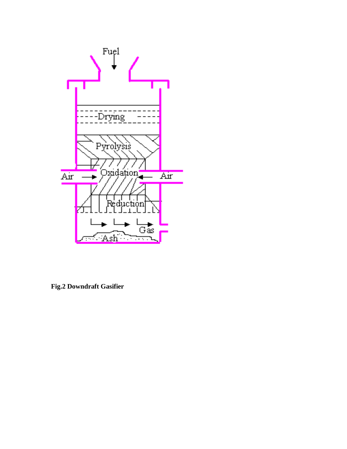

**Fig.2 Downdraft Gasifier**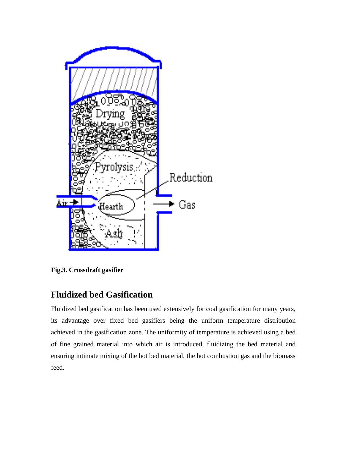

**Fig.3. Crossdraft gasifier**

# **Fluidized bed Gasification**

Fluidized bed gasification has been used extensively for coal gasification for many years, its advantage over fixed bed gasifiers being the uniform temperature distribution achieved in the gasification zone. The uniformity of temperature is achieved using a bed of fine grained material into which air is introduced, fluidizing the bed material and ensuring intimate mixing of the hot bed material, the hot combustion gas and the biomass feed.